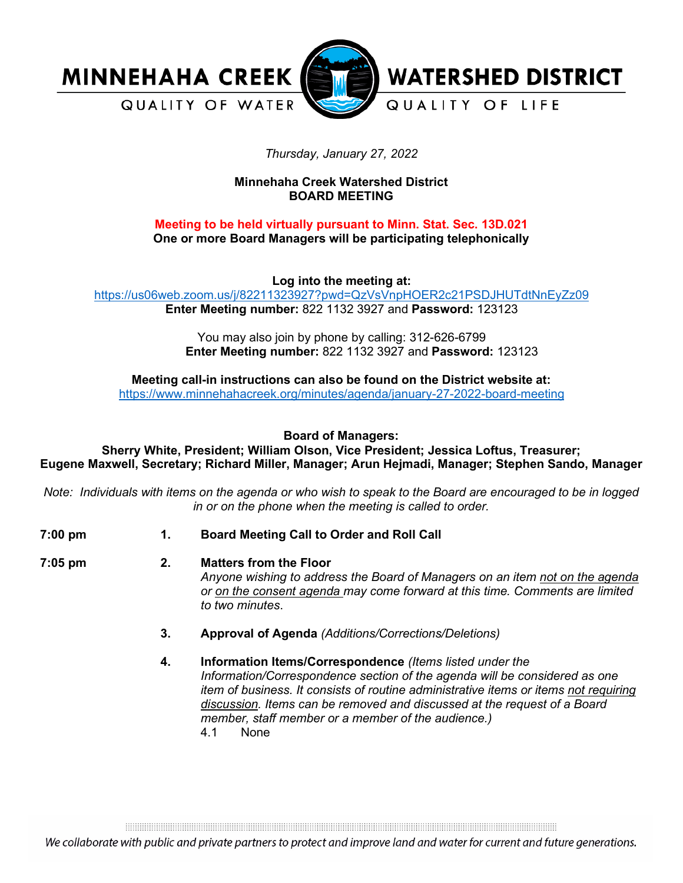

# *Thursday, January 27, 2022*

# **Minnehaha Creek Watershed District BOARD MEETING**

# **Meeting to be held virtually pursuant to Minn. Stat. Sec. 13D.021 One or more Board Managers will be participating telephonically**

**Log into the meeting at:**

<https://us06web.zoom.us/j/82211323927?pwd=QzVsVnpHOER2c21PSDJHUTdtNnEyZz09> **Enter Meeting number:** 822 1132 3927 and **Password:** 123123

> You may also join by phone by calling: 312-626-6799 **Enter Meeting number:** 822 1132 3927 and **Password:** 123123

**Meeting call-in instructions can also be found on the District website at:** <https://www.minnehahacreek.org/minutes/agenda/january-27-2022-board-meeting>

**Board of Managers:**

**Sherry White, President; William Olson, Vice President; Jessica Loftus, Treasurer; Eugene Maxwell, Secretary; Richard Miller, Manager; Arun Hejmadi, Manager; Stephen Sando, Manager**

*Note: Individuals with items on the agenda or who wish to speak to the Board are encouraged to be in logged in or on the phone when the meeting is called to order.*

- 
- **7:00 pm 1. Board Meeting Call to Order and Roll Call**

**7:05 pm 2. Matters from the Floor**

*Anyone wishing to address the Board of Managers on an item not on the agenda or on the consent agenda may come forward at this time. Comments are limited to two minutes*.

- **3. Approval of Agenda** *(Additions/Corrections/Deletions)*
- **4. Information Items/Correspondence** *(Items listed under the Information/Correspondence section of the agenda will be considered as one item of business. It consists of routine administrative items or items not requiring discussion. Items can be removed and discussed at the request of a Board member, staff member or a member of the audience.)* None

and the contract of the contract of the contract of the contract of the contract of the contract of the contract of

We collaborate with public and private partners to protect and improve land and water for current and future generations.